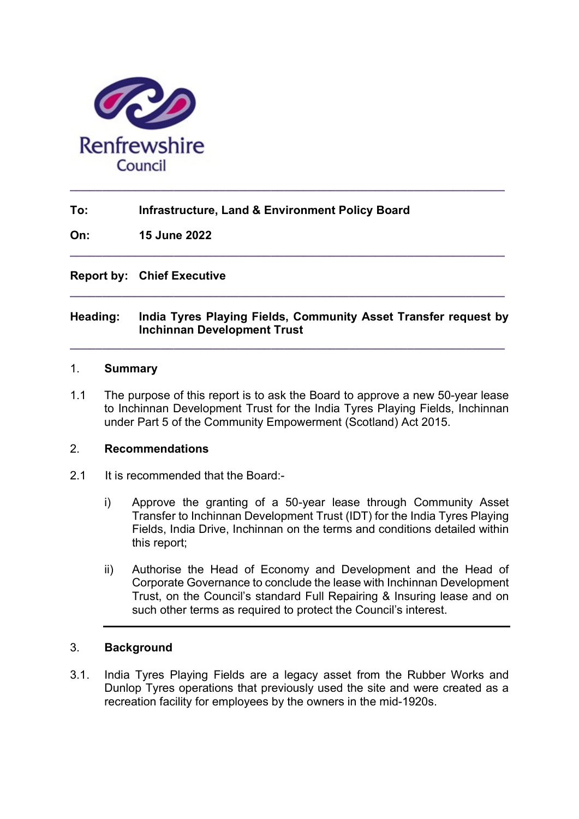

## To: Infrastructure, Land & Environment Policy Board

On: 15 June 2022

Report by: Chief Executive

### Heading: India Tyres Playing Fields, Community Asset Transfer request by Inchinnan Development Trust

 $\_$  , and the set of the set of the set of the set of the set of the set of the set of the set of the set of the set of the set of the set of the set of the set of the set of the set of the set of the set of the set of th

 $\_$  ,  $\_$  ,  $\_$  ,  $\_$  ,  $\_$  ,  $\_$  ,  $\_$  ,  $\_$  ,  $\_$  ,  $\_$  ,  $\_$  ,  $\_$  ,  $\_$  ,  $\_$  ,  $\_$  ,  $\_$  ,  $\_$  ,  $\_$  ,  $\_$ 

 $\_$  , and the set of the set of the set of the set of the set of the set of the set of the set of the set of the set of the set of the set of the set of the set of the set of the set of the set of the set of the set of th

#### 1. Summary

1.1 The purpose of this report is to ask the Board to approve a new 50-year lease to Inchinnan Development Trust for the India Tyres Playing Fields, Inchinnan under Part 5 of the Community Empowerment (Scotland) Act 2015.

#### 2. Recommendations

- 2.1 It is recommended that the Board:
	- i) Approve the granting of a 50-year lease through Community Asset Transfer to Inchinnan Development Trust (IDT) for the India Tyres Playing Fields, India Drive, Inchinnan on the terms and conditions detailed within this report;
	- ii) Authorise the Head of Economy and Development and the Head of Corporate Governance to conclude the lease with Inchinnan Development Trust, on the Council's standard Full Repairing & Insuring lease and on such other terms as required to protect the Council's interest.

#### 3. Background

3.1. India Tyres Playing Fields are a legacy asset from the Rubber Works and Dunlop Tyres operations that previously used the site and were created as a recreation facility for employees by the owners in the mid-1920s.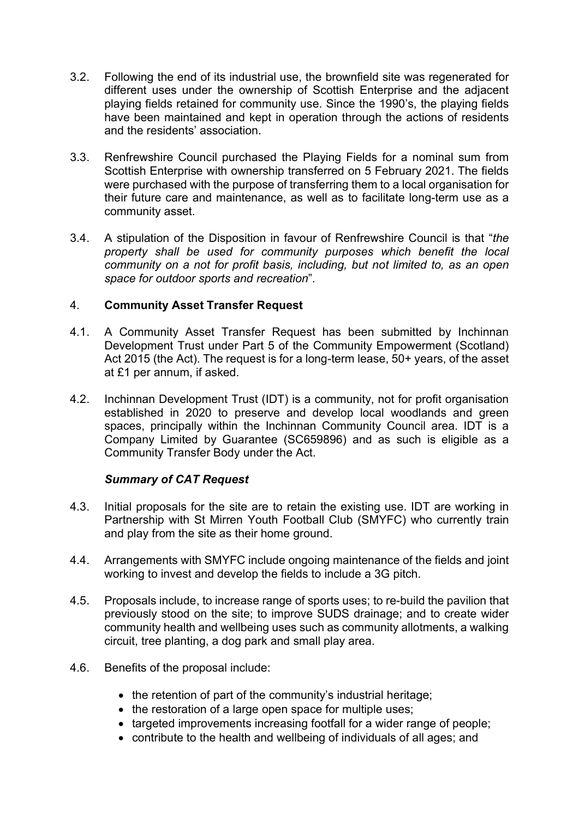- 3.2. Following the end of its industrial use, the brownfield site was regenerated for different uses under the ownership of Scottish Enterprise and the adjacent playing fields retained for community use. Since the 1990's, the playing fields have been maintained and kept in operation through the actions of residents and the residents' association.
- 3.3. Renfrewshire Council purchased the Playing Fields for a nominal sum from Scottish Enterprise with ownership transferred on 5 February 2021. The fields were purchased with the purpose of transferring them to a local organisation for their future care and maintenance, as well as to facilitate long-term use as a community asset.
- 3.4. A stipulation of the Disposition in favour of Renfrewshire Council is that "the property shall be used for community purposes which benefit the local community on a not for profit basis, including, but not limited to, as an open space for outdoor sports and recreation".

## 4. Community Asset Transfer Request

- 4.1. A Community Asset Transfer Request has been submitted by Inchinnan Development Trust under Part 5 of the Community Empowerment (Scotland) Act 2015 (the Act). The request is for a long-term lease, 50+ years, of the asset at £1 per annum, if asked.
- 4.2. Inchinnan Development Trust (IDT) is a community, not for profit organisation established in 2020 to preserve and develop local woodlands and green spaces, principally within the Inchinnan Community Council area. IDT is a Company Limited by Guarantee (SC659896) and as such is eligible as a Community Transfer Body under the Act.

## Summary of CAT Request

- 4.3. Initial proposals for the site are to retain the existing use. IDT are working in Partnership with St Mirren Youth Football Club (SMYFC) who currently train and play from the site as their home ground.
- 4.4. Arrangements with SMYFC include ongoing maintenance of the fields and joint working to invest and develop the fields to include a 3G pitch.
- 4.5. Proposals include, to increase range of sports uses; to re-build the pavilion that previously stood on the site; to improve SUDS drainage; and to create wider community health and wellbeing uses such as community allotments, a walking circuit, tree planting, a dog park and small play area.
- 4.6. Benefits of the proposal include:
	- the retention of part of the community's industrial heritage;
	- the restoration of a large open space for multiple uses:
	- targeted improvements increasing footfall for a wider range of people;
	- contribute to the health and wellbeing of individuals of all ages; and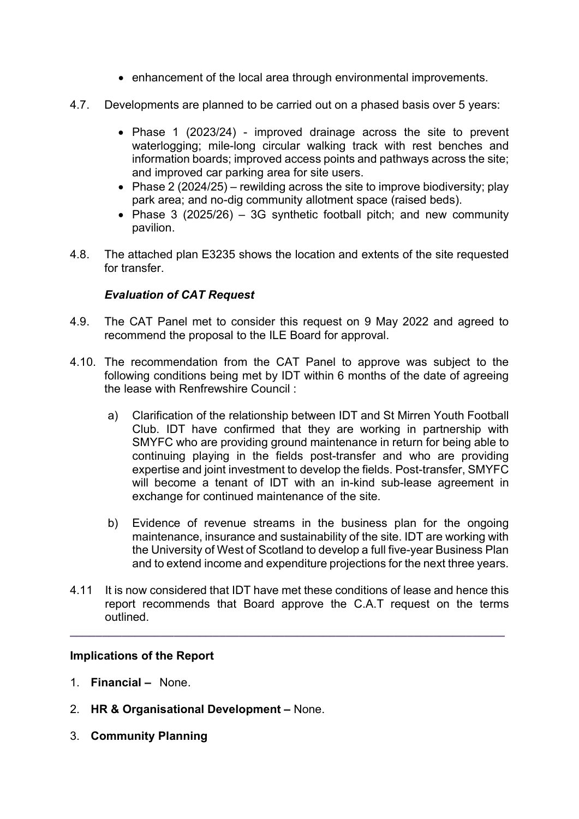- enhancement of the local area through environmental improvements.
- 4.7. Developments are planned to be carried out on a phased basis over 5 years:
	- Phase 1 (2023/24) improved drainage across the site to prevent waterlogging; mile-long circular walking track with rest benches and information boards; improved access points and pathways across the site; and improved car parking area for site users.
	- Phase 2 (2024/25) rewilding across the site to improve biodiversity; play park area; and no-dig community allotment space (raised beds).
	- Phase 3 (2025/26) 3G synthetic football pitch; and new community pavilion.
- 4.8. The attached plan E3235 shows the location and extents of the site requested for transfer.

## Evaluation of CAT Request

- 4.9. The CAT Panel met to consider this request on 9 May 2022 and agreed to recommend the proposal to the ILE Board for approval.
- 4.10. The recommendation from the CAT Panel to approve was subject to the following conditions being met by IDT within 6 months of the date of agreeing the lease with Renfrewshire Council :
	- a) Clarification of the relationship between IDT and St Mirren Youth Football Club. IDT have confirmed that they are working in partnership with SMYFC who are providing ground maintenance in return for being able to continuing playing in the fields post-transfer and who are providing expertise and joint investment to develop the fields. Post-transfer, SMYFC will become a tenant of IDT with an in-kind sub-lease agreement in exchange for continued maintenance of the site.
	- b) Evidence of revenue streams in the business plan for the ongoing maintenance, insurance and sustainability of the site. IDT are working with the University of West of Scotland to develop a full five-year Business Plan and to extend income and expenditure projections for the next three years.
- 4.11 It is now considered that IDT have met these conditions of lease and hence this report recommends that Board approve the C.A.T request on the terms outlined.

 $\_$  ,  $\_$  ,  $\_$  ,  $\_$  ,  $\_$  ,  $\_$  ,  $\_$  ,  $\_$  ,  $\_$  ,  $\_$  ,  $\_$  ,  $\_$  ,  $\_$  ,  $\_$  ,  $\_$  ,  $\_$  ,  $\_$  ,  $\_$  ,  $\_$ 

## Implications of the Report

- 1. Financial None.
- 2. HR & Organisational Development None.
- 3. Community Planning